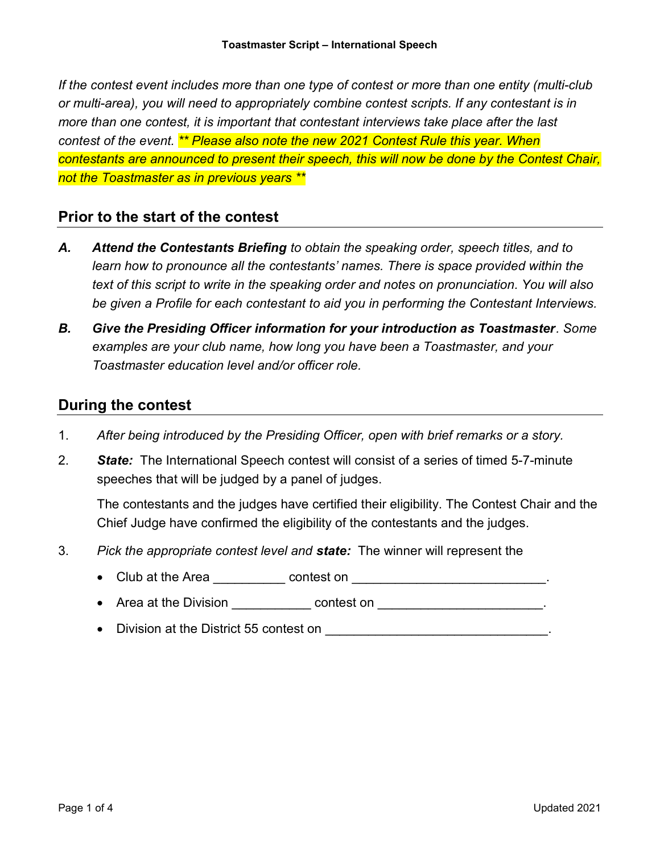If the contest event includes more than one type of contest or more than one entity (multi-club or multi-area), you will need to appropriately combine contest scripts. If any contestant is in more than one contest, it is important that contestant interviews take place after the last contest of the event. **\*\* Please also note the new 2021 Contest Rule this year. When** contestants are announced to present their speech, this will now be done by the Contest Chair, not the Toastmaster as in previous years \*\*

## Prior to the start of the contest

- A. Attend the Contestants Briefing to obtain the speaking order, speech titles, and to learn how to pronounce all the contestants' names. There is space provided within the text of this script to write in the speaking order and notes on pronunciation. You will also be given a Profile for each contestant to aid you in performing the Contestant Interviews.
- B. Give the Presiding Officer information for your introduction as Toastmaster. Some examples are your club name, how long you have been a Toastmaster, and your Toastmaster education level and/or officer role.

## During the contest

- 1. After being introduced by the Presiding Officer, open with brief remarks or a story.
- 2. State: The International Speech contest will consist of a series of timed 5-7-minute speeches that will be judged by a panel of judges.

The contestants and the judges have certified their eligibility. The Contest Chair and the Chief Judge have confirmed the eligibility of the contestants and the judges.

- 3. Pick the appropriate contest level and **state:** The winner will represent the
	- Club at the Area \_\_\_\_\_\_\_\_\_\_ contest on \_\_\_\_\_\_\_\_\_\_\_\_\_\_\_\_\_\_\_\_\_\_\_\_\_\_\_\_\_.
	- Area at the Division \_\_\_\_\_\_\_\_\_\_\_\_\_\_\_ contest on \_\_\_\_\_\_\_\_\_\_\_\_\_\_\_\_\_\_\_\_\_\_\_\_\_\_\_\_\_\_
	- $\bullet$  Division at the District 55 contest on  $\qquad \qquad \bullet$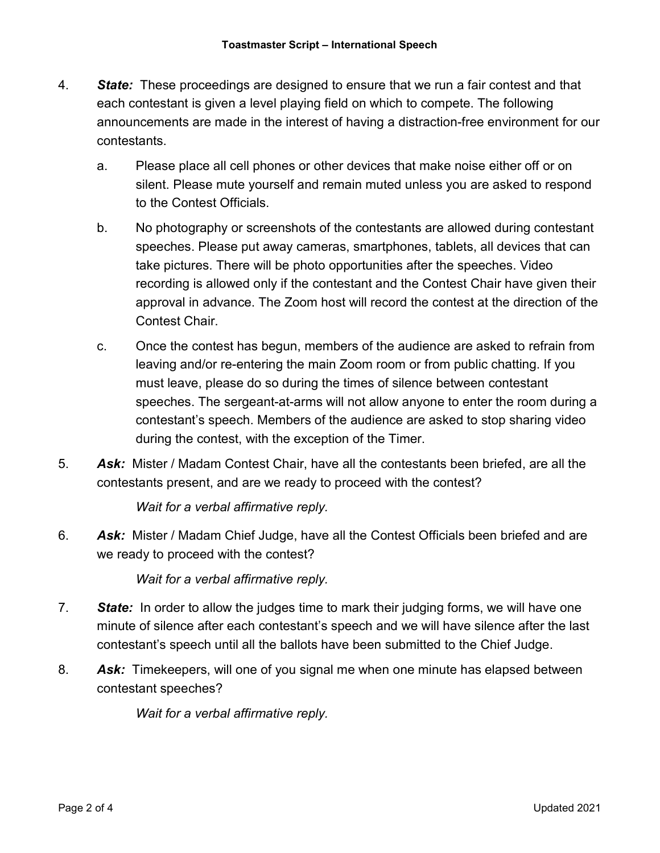- 4. State: These proceedings are designed to ensure that we run a fair contest and that each contestant is given a level playing field on which to compete. The following announcements are made in the interest of having a distraction-free environment for our contestants.
	- a. Please place all cell phones or other devices that make noise either off or on silent. Please mute yourself and remain muted unless you are asked to respond to the Contest Officials.
	- b. No photography or screenshots of the contestants are allowed during contestant speeches. Please put away cameras, smartphones, tablets, all devices that can take pictures. There will be photo opportunities after the speeches. Video recording is allowed only if the contestant and the Contest Chair have given their approval in advance. The Zoom host will record the contest at the direction of the Contest Chair.
	- c. Once the contest has begun, members of the audience are asked to refrain from leaving and/or re-entering the main Zoom room or from public chatting. If you must leave, please do so during the times of silence between contestant speeches. The sergeant-at-arms will not allow anyone to enter the room during a contestant's speech. Members of the audience are asked to stop sharing video during the contest, with the exception of the Timer.
- 5. Ask: Mister / Madam Contest Chair, have all the contestants been briefed, are all the contestants present, and are we ready to proceed with the contest?

Wait for a verbal affirmative reply.

6. Ask: Mister / Madam Chief Judge, have all the Contest Officials been briefed and are we ready to proceed with the contest?

Wait for a verbal affirmative reply.

- 7. State: In order to allow the judges time to mark their judging forms, we will have one minute of silence after each contestant's speech and we will have silence after the last contestant's speech until all the ballots have been submitted to the Chief Judge.
- 8. Ask: Timekeepers, will one of you signal me when one minute has elapsed between contestant speeches?

Wait for a verbal affirmative reply.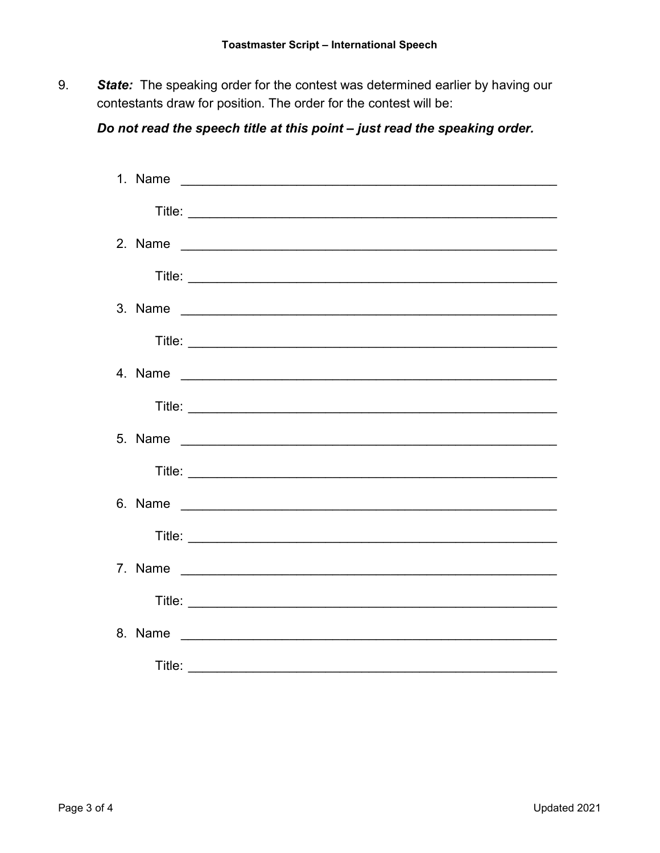9. State: The speaking order for the contest was determined earlier by having our contestants draw for position. The order for the contest will be:

## Do not read the speech title at this point - just read the speaking order.

| Title: |  |
|--------|--|